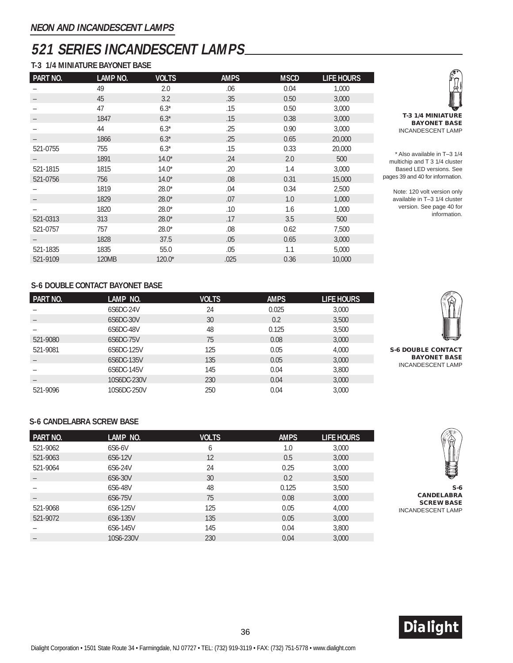# **521 SERIES INCANDESCENT LAMPS**

### **T-3 1/4 MINIATURE BAYONET BASE**

| PART NO. | LAMP NO. | <b>VOLTS</b> | <b>AMPS</b> | <b>MSCD</b> | <b>LIFE HOURS</b> |
|----------|----------|--------------|-------------|-------------|-------------------|
|          | 49       | 2.0          | .06         | 0.04        | 1,000             |
|          | 45       | 3.2          | .35         | 0.50        | 3,000             |
|          | 47       | $6.3*$       | .15         | 0.50        | 3,000             |
|          | 1847     | $6.3*$       | .15         | 0.38        | 3,000             |
|          | 44       | $6.3*$       | .25         | 0.90        | 3,000             |
|          | 1866     | $6.3*$       | .25         | 0.65        | 20,000            |
| 521-0755 | 755      | $6.3*$       | .15         | 0.33        | 20,000            |
|          | 1891     | $14.0*$      | .24         | 2.0         | 500               |
| 521-1815 | 1815     | $14.0*$      | .20         | 1.4         | 3,000             |
| 521-0756 | 756      | $14.0*$      | .08         | 0.31        | 15,000            |
|          | 1819     | $28.0*$      | .04         | 0.34        | 2,500             |
|          | 1829     | $28.0*$      | .07         | 1.0         | 1,000             |
|          | 1820     | $28.0*$      | .10         | 1.6         | 1,000             |
| 521-0313 | 313      | $28.0*$      | .17         | 3.5         | 500               |
| 521-0757 | 757      | $28.0*$      | .08         | 0.62        | 7,500             |
|          | 1828     | 37.5         | .05         | 0.65        | 3,000             |
| 521-1835 | 1835     | 55.0         | .05         | 1.1         | 5,000             |
| 521-9109 | 120MB    | $120.0*$     | .025        | 0.36        | 10,000            |



\* Also available in T–3 1/4 multichip and T 3 1/4 cluster Based LED versions. See pages 39 and 40 for information.

> Note: 120 volt version only available in T–3 1/4 cluster version. See page 40 for information.

#### **S-6 DOUBLE CONTACT BAYONET BASE**

| <b>PART NO.</b> | LAMP NO.    | <b>VOLTS</b> | <b>AMPS</b> | LIFE HOURS |                                                 |
|-----------------|-------------|--------------|-------------|------------|-------------------------------------------------|
|                 | 6S6DC-24V   | 24           | 0.025       | 3,000      |                                                 |
|                 | 6S6DC-30V   | 30           | 0.2         | 3,500      |                                                 |
|                 | 6S6DC-48V   | 48           | 0.125       | 3,500      |                                                 |
| 521-9080        | 6S6DC-75V   | 75           | 0.08        | 3,000      | يسو                                             |
| 521-9081        | 6S6DC-125V  | 125          | 0.05        | 4.000      | <b>S-6 DOUBLE CONTACT</b>                       |
|                 | 6S6DC-135V  | 135          | 0.05        | 3,000      | <b>BAYONET BASE</b><br><b>INCANDESCENT LAMP</b> |
|                 | 6S6DC-145V  | 145          | 0.04        | 3,800      |                                                 |
|                 | 10S6DC-230V | 230          | 0.04        | 3,000      |                                                 |
| 521-9096        | 10S6DC-250V | 250          | 0.04        | 3,000      |                                                 |

#### **S-6 CANDELABRA SCREW BASE**



**S-6 CANDELABRA SCREW BASE** INCANDESCENT LAMP

| PART NO. | LAMP NO.  | VOLTS | <b>AMPS</b> | LIFE HOURS |
|----------|-----------|-------|-------------|------------|
| 521-9062 | 6S6-6V    | 6     | 1.0         | 3,000      |
| 521-9063 | 6S6-12V   | 12    | 0.5         | 3,000      |
| 521-9064 | 6S6-24V   | 24    | 0.25        | 3,000      |
|          | 6S6-30V   | 30    | 0.2         | 3,500      |
|          | 6S6-48V   | 48    | 0.125       | 3,500      |
|          | 6S6-75V   | 75    | 0.08        | 3,000      |
| 521-9068 | 6S6-125V  | 125   | 0.05        | 4,000      |
| 521-9072 | 6S6-135V  | 135   | 0.05        | 3,000      |
|          | 6S6-145V  | 145   | 0.04        | 3,800      |
|          | 10S6-230V | 230   | 0.04        | 3,000      |